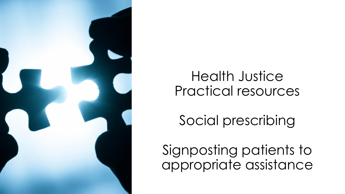

## Health Justice Practical resources

Social prescribing

Signposting patients to appropriate assistance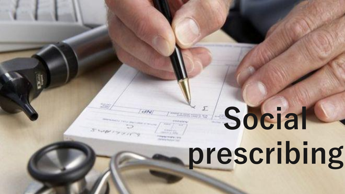# **Social prescribing**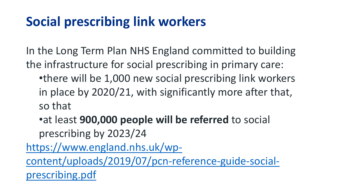### **Social prescribing link workers**

In the Long Term Plan NHS England committed to building the infrastructure for social prescribing in primary care:

- •there will be 1,000 new social prescribing link workers in place by 2020/21, with significantly more after that, so that
- •at least **900,000 people will be referred** to social prescribing by 2023/24

https://www.england.nhs.uk/wp[content/uploads/2019/07/pcn-reference-guide-social](https://www.england.nhs.uk/wp-content/uploads/2019/07/pcn-reference-guide-social-prescribing.pdf)prescribing.pdf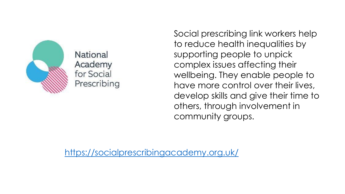

**National** Academy for Social Prescribing

Social prescribing link workers help to reduce health inequalities by supporting people to unpick complex issues affecting their wellbeing. They enable people to have more control over their lives, develop skills and give their time to others, through involvement in community groups.

<https://socialprescribingacademy.org.uk/>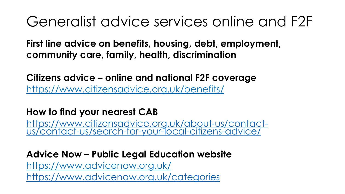## Generalist advice services online and F2F

**First line advice on benefits, housing, debt, employment, community care, family, health, discrimination**

**Citizens advice – online and national F2F coverage** <https://www.citizensadvice.org.uk/benefits/>

#### **How to find your nearest CAB**

https://www.citizensadvice.org.uk/about-us/contact[us/contact-us/search-for-your-local-citizens-advice/](https://www.citizensadvice.org.uk/about-us/contact-us/contact-us/search-for-your-local-citizens-advice/)

#### **Advice Now – Public Legal Education website** <https://www.advicenow.org.uk/> <https://www.advicenow.org.uk/categories>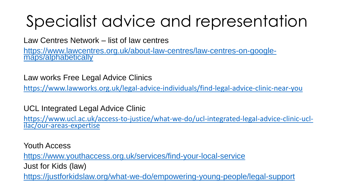# Specialist advice and representation

Law Centres Network – list of law centres

[https://www.lawcentres.org.uk/about-law-centres/law-centres-on-google](https://www.lawcentres.org.uk/about-law-centres/law-centres-on-google-maps/alphabetically)maps/alphabetically

Law works Free Legal Advice Clinics

<https://www.lawworks.org.uk/legal-advice-individuals/find-legal-advice-clinic-near-you>

UCL Integrated Legal Advice Clinic

[https://www.ucl.ac.uk/access-to-justice/what-we-do/ucl-integrated-legal-advice-clinic-ucl](https://www.ucl.ac.uk/access-to-justice/what-we-do/ucl-integrated-legal-advice-clinic-ucl-ilac/our-areas-expertise)ilac/our-areas-expertise

Youth Access <https://www.youthaccess.org.uk/services/find-your-local-service> Just for Kids (law) <https://justforkidslaw.org/what-we-do/empowering-young-people/legal-support>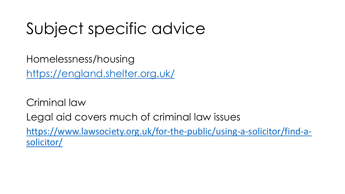# Subject specific advice

Homelessness/housing <https://england.shelter.org.uk/>

Criminal law Legal aid covers much of criminal law issues [https://www.lawsociety.org.uk/for-the-public/using-a-solicitor/find-a](https://www.lawsociety.org.uk/for-the-public/using-a-solicitor/find-a-solicitor/)solicitor/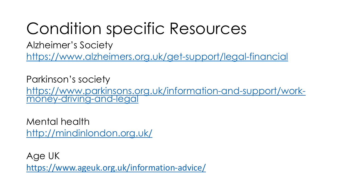# Condition specific Resources

Alzheimer's Society

<https://www.alzheimers.org.uk/get-support/legal-financial>

Parkinson's society [https://www.parkinsons.org.uk/information-and-support/work](https://www.parkinsons.org.uk/information-and-support/work-money-driving-and-legal)money-driving-and-legal

Mental health <http://mindinlondon.org.uk/>

Age UK <https://www.ageuk.org.uk/information-advice/>